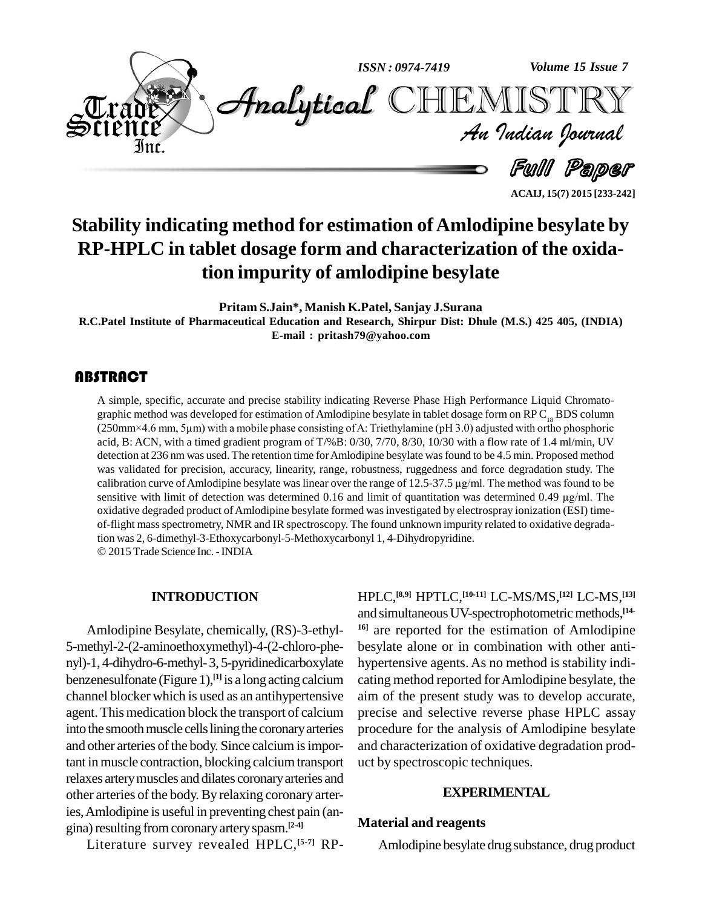

**ACAIJ, 15(7) 2015 [233-242]**

# **Stability indicating method for estimation ofAmlodipine besylate by RP-HPLC in tablet dosage form and characterization of the oxidation impurity of amlodipine besylate**

**Pritam S.Jain\*, Manish K.Patel, Sanjay J.Surana**

**R.C.Patel Institute of Pharmaceutical Education and Research, Shirpur Dist: Dhule (M.S.) 425 405, (INDIA) E-mail : [pritash79@yahoo.com](mailto:pritash79@yahoo.com)**

A simple, specific, accurate and precise stability indicating Reverse Phase High Performance Liquid Chromatographic method was developed for estimation of Amlodipine besylate in tablet dosage form on RP C<sub>18</sub> BDS column ( A simple, specific, accurate and precise stability indicating Reverse Phase High Performance Liquid Chromato graphic method was developed for estimation of Amlodipine besylate in tablet dosage form on RP C<sub>18</sub> BDS column acid, B: ACN, with a timed gradient program of T/%B: 0/30, 7/70, 8/30, 10/30 with a flow rate of 1.4 ml/min, UV detection at 236 nm was used. The retention time for Amlodipine besylate was found to be 4.5 min. Proposed method was validated for precision, accuracy, linearity, range, robustness, ruggedness and force degradation study. The detection at 236 nm was used. The retention time for Amlodipine besylate was found to be 4.5 min. Proposed method<br>was validated for precision, accuracy, linearity, range, robustness, ruggedness and force degradation study. was validated for precision, accuracy, linearity, range, robustness, ruggedness and force degradation study. The calibration curve of Amlodipine besylate was linear over the range of 12.5-37.5 µg/ml. The method was found t oxidative degraded product ofAmlodipine besylate formed was investigated by electrospray ionization (ESI) time of-flight mass spectrometry, NMR and IR spectroscopy. The found unknown impurity related to oxidative degradation was 2, 6-dimethyl-3-Ethoxycarbonyl-5-Methoxycarbonyl 1, 4-Dihydropyridine. 2015 Trade Science Inc.-INDIA

#### **INTRODUCTION**

Amlodipine Besylate, chemically, (RS)-3-ethyl- 5-methyl-2-(2-aminoethoxymethyl)-4-(2-chloro-phe nyl)-1, 4-dihydro-6-methyl-3, 5-pyridinedicarboxylate benzenesulfonate (Figure 1),<sup>[1]</sup> is a long acting calcium cating metho channel blocker which is used as an antihypertensive agent. This medication block the transport of calcium into the smooth muscle cells lining the coronary arteries and other arteries of the body. Since calcium is important in muscle contraction, blocking calcium transport relaxes arterymuscles and dilates coronaryarteries and other arteries of the body. By relaxing coronary arteries,Amlodipine is useful in preventing chest pain (an gina) resulting from coronary artery spasm.<sup>[2-4]</sup>

Literature survey revealed HPLC, **[5-7]** RP-

HPLC, **[8,9]** HPTLC, **[10-11]** LC-MS/MS, **[12]** LC-MS, **[13]** and simultaneous UV-spectrophotometric methods, [14-<sup>16]</sup> are reported for the estimation of Amlodipine besylate alone or in combination with other anti hypertensive agents. As no method is stability indi cating method reported forAmlodipine besylate, the aim of the present study was to develop accurate, precise and selective reverse phase HPLC assay procedure for the analysis of Amlodipine besylate and characterization of oxidative degradation prod uct by spectroscopic techniques.

#### **EXPERIMENTAL**

#### **Material and reagents**

Amlodipine besylate drugsubstance, drug product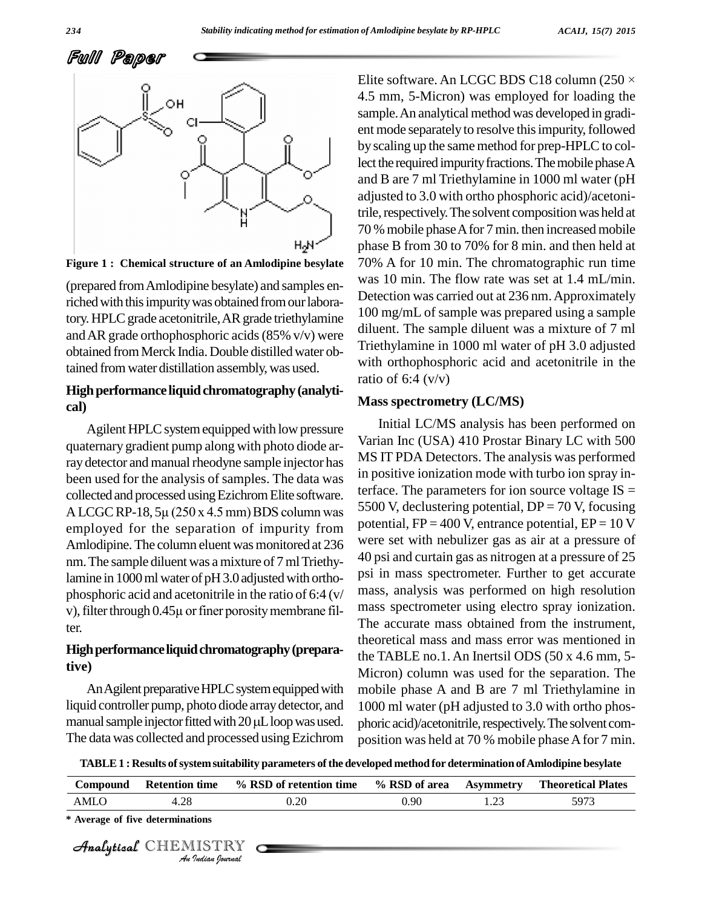Full Paper





(prepared fromAmlodipine besylate) and samples enriched with this impurity was obtained from our laboratory. HPLC grade acetonitrile, AR grade triethylamine and AR grade orthophosphoric acids (85% v/v) were obtained fromMerck India.Double distilledwater obtained fromwater distillation assembly, was used.

# **High performance liquid chromatography** (analyti**cal)**

Agilent HPLC system equipped with low pressure quaternary gradient pump along with photo diode array detector and manual rheodyne sample injector has been used for the analysis of samples. The data was a state of the collected and processed using Ezichrom Elite software. terfa<br>A LCGC RP-18, 5µ (250 x 4.5 mm) BDS column was 5500 collected and processed using Ezichrom Elite software. employed for the separation of impurity from Amlodipine. The column eluent was monitored at 236 nm. The sample diluent was a mixture of 7 ml Triethylamine in 1000 ml water of pH 3.0 adjusted with ortho-<br>phosphoric acid and acetonitrile in the ratio of 6:4 (v/ mas<br>v), filter through  $0.45\mu$  or finer porosity membrane filphosphoric acid and acetonitrile in the ratio of 6:4 (v/ ter.

# High performance liquid chromatography (prepara**tive)**

An Agilent preparative HPLC system equipped with liquid controller pump, photo diode array detector, and 1000 n An Agilent preparative HPLC system equipped with  $m$  liquid controller pump, photo diode array detector, and  $10$  manual sample injector fitted with 20  $\mu$ L loop was used. The data was collected and processed using Ezichrom

Elite software. An LCGC BDS C18 column (250  $\times$ 4.5 mm, 5-Micron) was employed for loading the sample. An analytical method was developed in gradient mode separately to resolve this impurity, followed by scaling up the same method for prep-HPLC to collect the required impurity fractions. The mobile phase A and B are 7 ml Triethylamine in 1000 ml water (pH adjusted to 3.0 with ortho phosphoric acid)/acetonitrile, respectively. The solvent composition was held at 70 % mobile phase A for 7 min. then increased mobile phase B from 30 to 70% for 8 min. and then held at 70% A for 10 min. The chromatographic run time was 10 min. The flow rate was set at 1.4 mL/min. Detection was carried out at 236 nm. Approximately 100 mg/mL of sample was prepared using a sample diluent. The sample diluent was a mixture of 7 ml Triethylamine in 1000 ml water of pH 3.0 adjusted with orthophosphoric acid and acetonitrile in the ratio of  $6:4$  (v/v)

### **Mass spectrometry (LC/MS)**

Initial LC/MS analysis has been performed on Varian Inc (USA) 410 Prostar Binary LC with 500 MS IT PDA Detectors. The analysis was performed in positive ionization mode with turbo ion spray interface. The parameters for ion source voltage  $IS =$ 5500 V, declustering potential,  $DP = 70$  V, focusing potential,  $FP = 400$  V, entrance potential,  $EP = 10$  V were set with nebulizer gas as air at a pressure of 40 psi and curtain gas as nitrogen at a pressure of 25 psi in mass spectrometer. Further to get accurate mass, analysis was performed on high resolution mass spectrometer using electro spray ionization. The accurate mass obtained from the instrument, theoretical mass and mass error was mentioned in the TABLE no.1. An Inertsil ODS (50 x 4.6 mm, 5- Micron) column was used for the separation. The mobile phase A and B are 7 ml Triethylamine in 1000 ml water (pH adjusted to 3.0 with ortho phos phoric acid)/acetonitrile, respectively. The solvent composition was held at 70 % mobile phase A for 7 min.

| TABLE 1: Results of system suitability parameters of the developed method for determination of Amlodipine besylate |                                  |                         |                   |                  |                           |  |  |
|--------------------------------------------------------------------------------------------------------------------|----------------------------------|-------------------------|-------------------|------------------|---------------------------|--|--|
| <b>Compound</b>                                                                                                    | <b>Retention time</b>            | % RSD of retention time | % RSD of area     | <b>Asymmetry</b> | <b>Theoretical Plates</b> |  |  |
| AMLO                                                                                                               | 4.28                             | 0.20                    | 0.90 <sub>1</sub> | 1.23             | 5973                      |  |  |
|                                                                                                                    | * Average of five determinations |                         |                   |                  |                           |  |  |
|                                                                                                                    | Analytical CHEMISTRY             |                         |                   |                  |                           |  |  |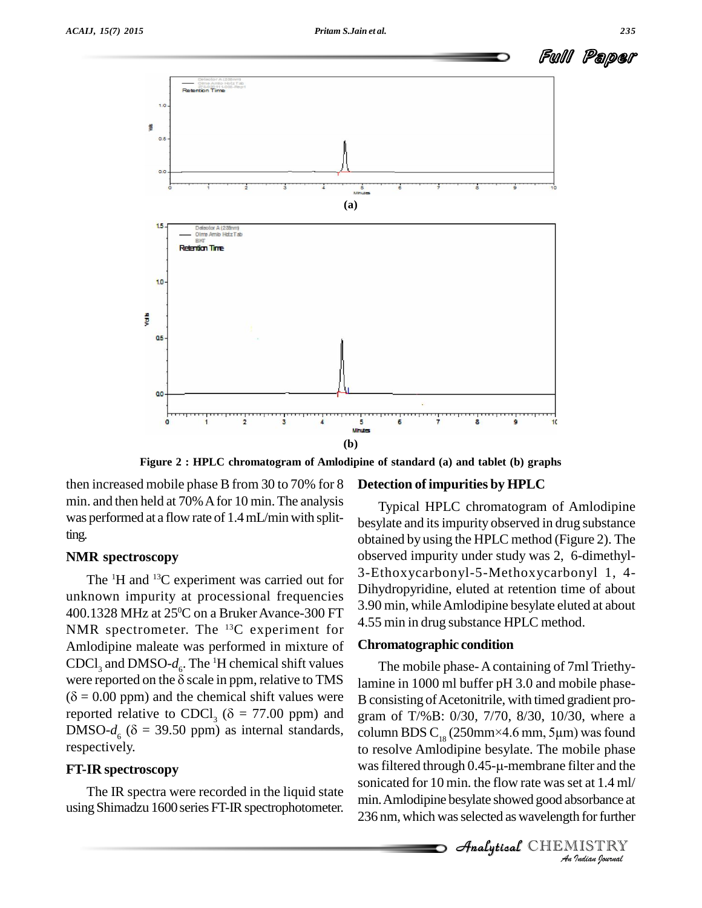

**Figure 2 : HPLC chromatogram of Amlodipine of standard (a) and tablet (b) graphs**

then increased mobile phase B from 30 to 70% for 8 min. and then held at 70% A for 10 min. The analysis was performed at a flow rate of 1.4mL/min with splitting.

# **NMR spectroscopy**

The <sup>1</sup>H and <sup>13</sup>C experiment was carried out for  $\frac{3}{2}$ unknown impurity at processional frequencies 400.1328 MHz at 25<sup>o</sup>C on a Bruker Avance-300 FT  $\frac{3.50 \text{ mm}}{4.55 \text{ min}}$ NMR spectrometer. The  $^{13}C$  experiment for  $\frac{13}{100}$ . Amlodipine maleate was performed in mixture of **Chrom:**<br>CDCl<sub>3</sub> and DMSO- $d_c$ . The <sup>1</sup>H chemical shift values The were reported on the  $\delta$  scale in ppm, relative to TMS lamine is CDCl<sub>3</sub> and DMSO- $d_e$ . The <sup>1</sup>H chemical shift values T<br>were reported on the  $\delta$  scale in ppm, relative to TMS lamin<br>( $\delta$  = 0.00 ppm) and the chemical shift values were B con were reported on the  $\delta$  scale in ppm, relative to TMS ( $\delta$  = 0.00 ppm) and the chemical shift values were reported relative to CDCl<sub>3</sub> ( $\delta$  = 77.00 ppm) and DMSO- $d_6$  ( $\delta$  = 39.50 ppm) as internal standards, respectively.

# **FT-IR spectroscopy**

The IR spectra were recorded in the liquid state using Shimadzu 1600 series FT-IR spectrophotometer.

### **Detection of impurities by HPLC**

Typical HPLC chromatogram of Amlodipine besylate and itsimpurity observed in drug substance obtained by using the HPLC method (Figure 2). The observed impurity under study was 2, 6-dimethyl-3-Ethoxycarbonyl-5-Methoxycarbonyl 1, 4- Dihydropyridine, eluted at retention time of about 3.90 min, whileAmlodipine besylate eluted at about 4.55 min in drug substance HPLC method.

# **Chromatographic condition**

 $\mu$ h 0.45- $\mu$ -membrane f *Indeep and the*<br>*Indian 1.4 ml/*<br>*Indian hournal*<br>*Indian hournal* The mobile phase-Acontaining of 7ml Triethylamine in 1000 ml buffer pH 3.0 and mobile phase- B consisting of Acetonitrile, with timed gradient program of T/%B: 0/30, 7/70, 8/30, 10/30, where a B consisting of Acetonitrile, with timed gradient program of T/%B: 0/30, 7/70, 8/30, 10/30, where a column BDS  $C_{18}$  (250mm×4.6 mm, 5µm) was found to resolve Amlodipine besylate. The mobile phase column BDS  $C_{18}$  (250mm×4.6 mm, 5µm) was found<br>to resolve Amlodipine besylate. The mobile phase<br>was filtered through 0.45-µ-membrane filter and the sonicated for 10 min. the flow rate was set at 1.4 ml/ min.Amlodipine besylate showed good absorbance at 236 nm, which was selected as wavelength for further

**Analytical** CHEMISTRY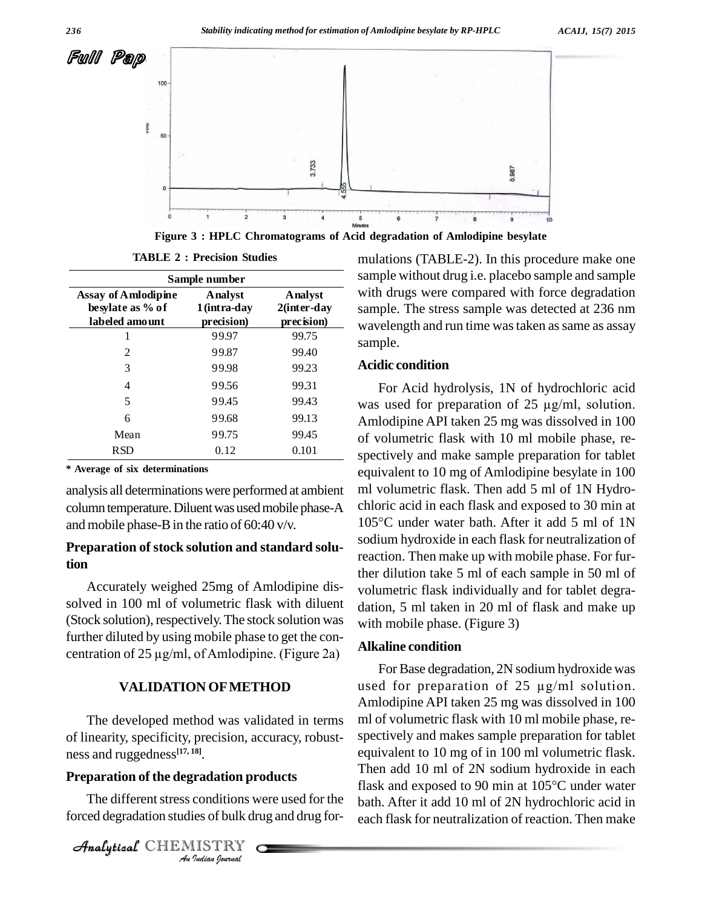

**Figure 3 : HPLC Chromatograms of Acid degradation of Amlodipine besylate**

| Sample number                                                    |                                      |                                              |
|------------------------------------------------------------------|--------------------------------------|----------------------------------------------|
| <b>Assay of Amlodipine</b><br>besylate as % of<br>labeled amount | Analyst<br>1(intra-day<br>precision) | <b>A</b> nalyst<br>2(inter-day<br>precision) |
|                                                                  | 99.97                                | 99.75                                        |
| 2                                                                | 99.87                                | 99.40                                        |
| 3                                                                | 99.98                                | 99.23                                        |
| 4                                                                | 99.56                                | 99.31                                        |
| 5                                                                | 99.45                                | 99.43                                        |
| 6                                                                | 99.68                                | 99.13                                        |
| Mean                                                             | 99.75                                | 99.45                                        |
| RSD                                                              | 0.12                                 | 0.101                                        |

**TABLE 2 : Precision Studies**

**\* Average of six determinations**

analysis all determinationswere performed at ambient column temperature. Diluent was used mobile phase-A and mobile phase-Bin the ratio of 60:40 v/v.

# **Preparation of stock solution and standard solution**

Accurately weighed 25mg of Amlodipine dissolved in 100 ml of volumetric flask with diluent (Stock solution), respectively. The stock solution was further diluted by using mobile phase to get the con- (Stock solution), respectively. The stock solution was<br>further diluted by using mobile phase to get the concentration of 25  $\mu$ g/ml, of Amlodipine. (Figure 2a)

# **VALIDATION OFMETHOD**

*An*ness and ruggedness **[17, 18]**. The developed method was validated in terms of linearity, specificity, precision, accuracy, robust-

# Analytical**Preparation of the degradation products**

*I*<br>**Indian I**<br>**I**<br>Indian bournal<br>Indian bournal The different stress conditions were used for the forced degradation studies of bulk drug and drug for-

CHEMISTRY COMPANY

mulations (TABLE-2). In this procedure make one sample without drug i.e. placebo sample and sample with drugs were compared with force degradation sample. The stress sample was detected at 236 nm **2(inter-day** wavelength and run time was taken as same as assay sample.

# **Acidic condition**

For Acid hydrolysis, 1N of hydrochloric acid was used for preparation of  $25 \mu g/ml$ , solution. Amlodipine API taken 25 mg was dissolved in 100 of volumetric flask with 10 ml mobile phase, re spectively and make sample preparation for tablet equivalent to 10 mg of Amlodipine besylate in 100 ml volumetric flask. Then add 5 ml of 1N Hydro chloric acid in each flask and exposed to 30 min at ml volumetric flask. Then add 5 ml of 1N Hydro-<br>chloric acid in each flask and exposed to 30 min at<br>105°C under water bath. After it add 5 ml of 1N sodium hydroxide in each flask for neutralization of reaction. Then make up with mobile phase. For further dilution take 5 ml of each sample in 50 ml of volumetric flask individually and for tablet degra dation, 5 ml taken in 20 ml of flask and make up with mobile phase. (Figure 3)

# **Alkaline condition**

For Base degradation, 2N sodium hydroxide was used for preparation of 25  $\mu$ g/ml solution. Amlodipine API taken 25 mg was dissolved in 100 ml of volumetric flask with 10 ml mobile phase, re spectively and makes sample preparation for tablet equivalent to 10 mg of in 100 ml volumetric flask.<br>Then add 10 ml of 2N sodium hydroxide in each<br>flask and exposed to 90 min at 105°C under water Then add 10 ml of 2N sodium hydroxide in each bath. After it add 10 ml of 2N hydrochloric acid in each flask for neutralization of reaction. Then make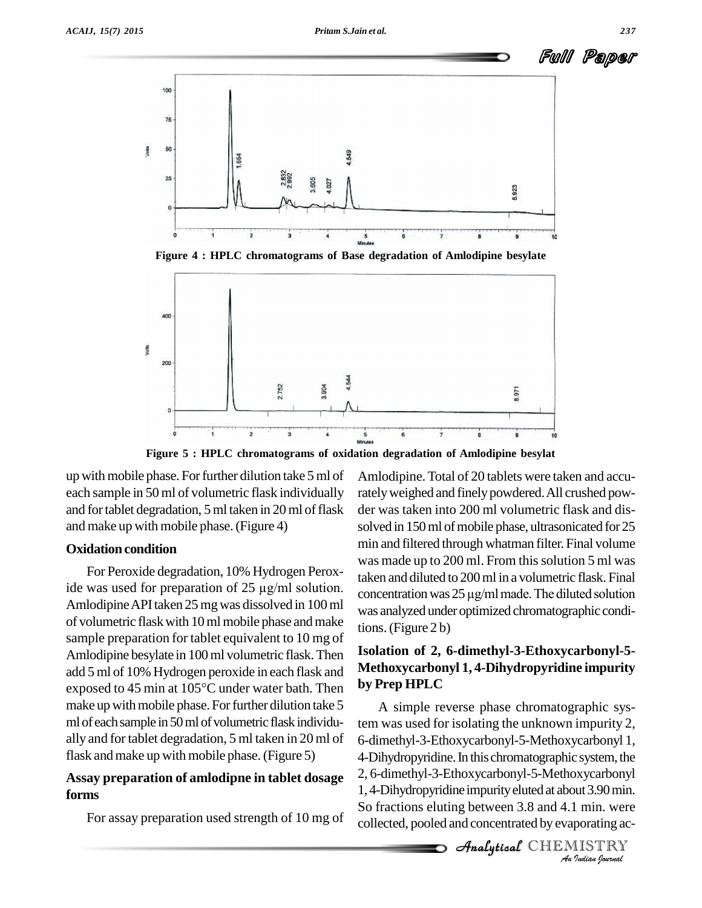

**Figure 4 : HPLC chromatograms of Base degradation of Amlodipine besylate**



**Figure 5 : HPLC chromatograms of oxidation degradation of Amlodipine besylat**

up with mobile phase. For further dilution take 5 ml of each sample in 50 ml of volumetric flask individually and for tablet degradation, 5 ml taken in 20 ml of flask and make up with mobile phase.(Figure 4)

# **Oxidation condition**

For Peroxide degradation, 10% Hydrogen Perox-AmlodipineAPItaken 25mgwas dissolved in 100ml of volumetric flaskwith 10mlmobile phase andmake sample preparation for tablet equivalent to 10 mg of Amlodipine besylate in 100 ml volumetric flask. Then<br>add 5 ml of 10% Hydrogen peroxide in each flask and<br>exposed to 45 min at 105°C under water bath. Then by Pre add 5 ml of 10% Hydrogen peroxide in each flask and make up with mobile phase. For further dilution take 5 ml of each sample in 50 ml of volumetric flask individually and for tablet degradation, 5 ml taken in 20 ml of flask and make up with mobile phase. (Figure 5)

# **Assay preparation of amlodipne in tablet dosage forms**

For assay preparation used strength of 10 mg of

ide was used for preparation of  $25 \mu g/ml$  solution.<br>concentration was  $25 \mu g/ml$  made. The diluted solution Amlodipine.Total of 20 tablets were taken and accurately weighed and finely powdered. All crushed powder was taken into 200 ml volumetric flask and dis solved in 150 ml of mobile phase, ultrasonicated for 25 min and filtered through whatman filter. Final volume was made up to 200 ml. From this solution 5 ml was<br>taken and diluted to 200 ml in a volumetric flask. Final<br>concentration was 25 µg/ml made. The diluted solution taken and diluted to 200ml in a volumetric flask. Final was analyzed under optimized chromatographic conditions.(Figure 2 b)

# **Isolation of 2, 6-dimethyl-3-Ethoxycarbonyl-5- Methoxycarbonyl 1, 4-Dihydropyridine impurity by Prep HPLC**

4-Dihydropyridine. In this chromatographic system, the *I* system, the<br>bxycarbonyl<br>lut 3.90 min.<br>lumin. were<br>portaing ac-<br>*I*ISTRY Analytical2, 6-dimethyl-3-Ethoxycarbonyl-5-Methoxycarbonyl A simple reverse phase chromatographic system was used for isolating the unknown impurity 2, 6-dimethyl-3-Ethoxycarbonyl-5-Methoxycarbonyl 1, 1, 4-Dihydropyridine impurity eluted at about 3.90 min. So fractions eluting between 3.8 and 4.1 min. were collected, pooled and concentrated by evaporating ac-

**Analytical** CHEMISTRY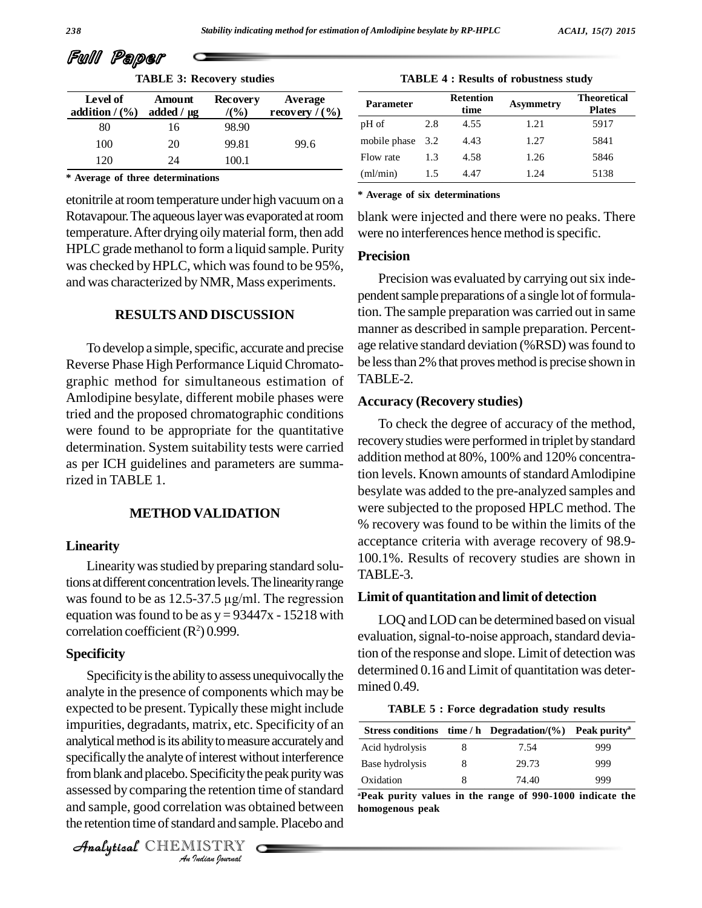|  | Full Paper |  |
|--|------------|--|
|--|------------|--|

| <b>TABLE 3: Recovery studies</b> |  |
|----------------------------------|--|
|----------------------------------|--|

| <b>TABLE 3: RECOVETY SITURES</b> |                                  |                           |                              |    |  |
|----------------------------------|----------------------------------|---------------------------|------------------------------|----|--|
| Level of<br>addition $/(26)$     | <b>Amount</b><br>added $/ \mu$ g | <b>Recovery</b><br>/(9/6) | Average<br>recovery $/(9/6)$ |    |  |
| 80                               | 16                               | 98.90                     |                              | pI |  |
| 100                              | 20                               | 99.81                     | 99.6                         | m  |  |
| 120                              | 24                               | 100.1                     |                              | Fl |  |

**\* Average of three determinations**

etonitrile at room temperature under high vacuum on a Rotavapour. The aqueous layer was evaporated at room temperature. After drying oily material form, then add HPLC grade methanol to form a liquid sample. Purity was checked by HPLC, which was found to be 95%, and was characterized by NMR, Mass experiments.

# **RESULTSAND DISCUSSION**

To develop a simple, specific, accurate and precise Reverse Phase High Performance Liquid Chromato graphic method for simultaneous estimation of Amlodipine besylate, different mobile phases were tried and the proposed chromatographic conditions were found to be appropriate for the quantitative determination. System suitability tests were carried as per ICH guidelines and parameters are summarized in TABLE 1.

# **METHOD VALIDATION**

#### **Linearity**

Linearity was studied by preparing standard solutions at different concentration levels. The linearity range Linearity was studied by preparing standard solutions at different concentration levels. The linearity range was found to be as  $12.5-37.5 \mu g/ml$ . The regression Limit equation was found to be as  $y = 93447x - 15218$  with correlation coefficient  $(R^2)$  0.999.

#### **Specificity**

specifically the analyte of interest without interference Base h **IFFORE INSTERM ANALY CHENISTRY**<br> *Indian*<br> *Indian*<br> *Indian*<br> *Indian*<br> *Indian*<br> *Indian*<br> *Indian*<br> *Indian*<br> *Indian*<br> *Indian*<br> *Indian*<br> *Indian*<br> *Indian*<br> *Indian*<br> *Indian*<br> *Indian*<br> *Indian* Specificity is the ability to assess unequivocally the analyte in the presence of components which may be expected to be present.Typically these might include impurities, degradants, matrix, etc. Specificity of an analytical method is its ability to measure accurately and assessed by comparing the retention time of standard and sample, good correlation was obtained between the retention time of standard and sample. Placebo and

CHEMISTRY

| <b>TABLE 4 : Results of robustness study</b> |  |  |  |  |
|----------------------------------------------|--|--|--|--|
|----------------------------------------------|--|--|--|--|

| Parameter    |     | <b>Retention</b><br>time | <b>Asymmetry</b> | <b>Theoretical</b><br><b>Plates</b> |
|--------------|-----|--------------------------|------------------|-------------------------------------|
| pH of        | 2.8 | 4.55                     | 1.21             | 5917                                |
| mobile phase | 3.2 | 4.43                     | 1.27             | 5841                                |
| Flow rate    | 1.3 | 4.58                     | 1.26             | 5846                                |
| (ml/min)     | 1.5 | 4.47                     | 1.24             | 5138                                |

**\* Average of six determinations**

blank were injected and there were no peaks. There were no interferences hence method is specific.

# **Precision**

Precision was evaluated by carrying out six independent sample preparations of a single lot of formulation. The sample preparation was carried out in same manner as described in sample preparation. Percent age relative standard deviation (%RSD) wasfound to be less than 2% that proves method is precise shown in TABLE-2.

#### **Accuracy (Recovery studies)**

To check the degree of accuracy of the method, recovery studies were performed in triplet by standard addition method at 80%, 100% and 120% concentration levels. Known amounts of standard Amlodipine besylate was added to the pre-analyzed samples and were subjected to the proposed HPLC method. The % recovery was found to be within the limits of the acceptance criteria with average recovery of 98.9- 100.1%. Results of recovery studies are shown in TABLE-3.

### **Limit of quantitation and limit of detection**

LOQ and LOD can be determined based on visual evaluation, signal-to-noise approach, standard deviation of the response and slope. Limit of detection was determined 0.16 and Limit of quantitation was deter mined 0.49.

**TABLE 5 : Force degradation study results**

|                 | Stress conditions time / h Degradation/ $(\% )$ Peak purity |     |
|-----------------|-------------------------------------------------------------|-----|
| Acid hydrolysis | 7.54                                                        | 999 |
| Base hydrolysis | 29.73                                                       | 999 |
| Oxidation       | 74.40                                                       | 999 |

**<sup>a</sup>Peak purity values in the range of 990-1000 indicate the homogenous peak**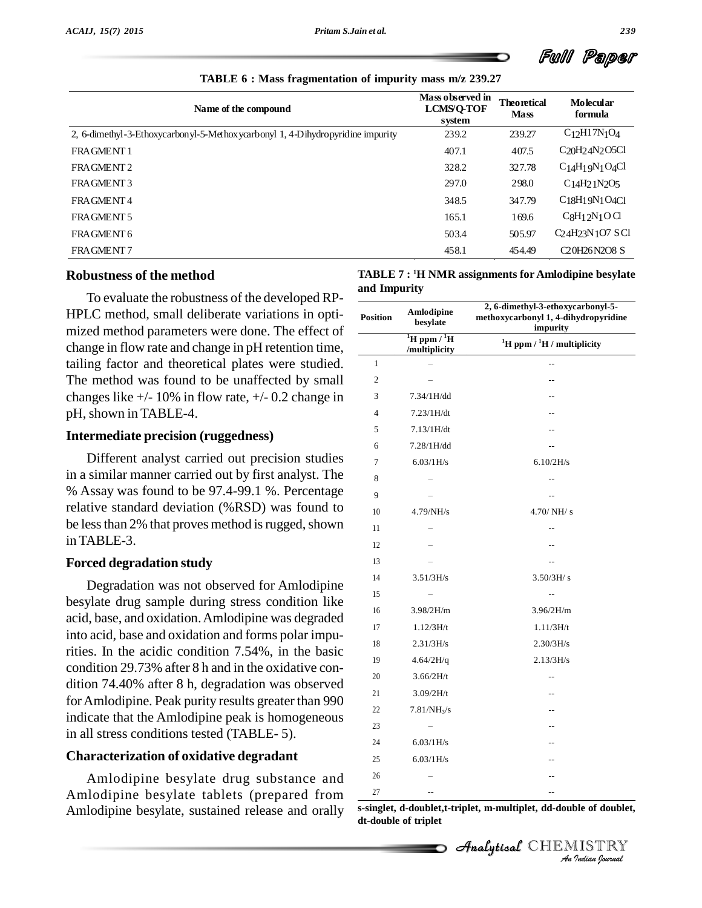Full Paper

**TABLE 6 : Mass fragmentation of impurity mass m/z 239.27**

| Name of the compound                                                           | Mass observed in<br><b>LCMS/Q-TOF</b><br>system | <b>Theoretical</b><br><b>Mass</b> | <b>Molecular</b><br>formula                                               |
|--------------------------------------------------------------------------------|-------------------------------------------------|-----------------------------------|---------------------------------------------------------------------------|
| 2, 6-dimethyl-3-Ethoxycarbonyl-5-Methoxycarbonyl 1, 4-Dihydropyridine impurity | 239.2                                           | 239.27                            | $C_{12}H17N_{1}O_{4}$                                                     |
| FRAGMENT 1                                                                     | 407.1                                           | 407.5                             | C <sub>20</sub> H <sub>2</sub> 4N <sub>2</sub> O <sub>5</sub> Cl          |
| FRAGMENT <sub>2</sub>                                                          | 328.2                                           | 327.78                            | $C_1$ <sub>4</sub> H <sub>1</sub> $9N_1$ O <sub>4</sub> Cl                |
| FRAGMENT3                                                                      | 297.0                                           | 298.0                             | C <sub>14</sub> H <sub>2</sub> <sub>1</sub> N <sub>2</sub> O <sub>5</sub> |
| FRAGMENT4                                                                      | 348.5                                           | 347.79                            | $C18H19N1O4C1$                                                            |
| FRAGMENT 5                                                                     | 165.1                                           | 169.6                             | $CgH_12N_1OCl$                                                            |
| FRAGMENT 6                                                                     | 503.4                                           | 505.97                            | C <sub>24</sub> H <sub>23</sub> N <sub>1</sub> O <sub>7</sub> SCl         |
| FRAGMENT7                                                                      | 458.1                                           | 454.49                            | C <sub>20</sub> H <sub>26</sub> N <sub>2</sub> O <sub>8</sub> S           |

#### **Robustness of the method**

To evaluate the robustness of the developed RP- HPLC method, small deliberate variations in opti mized method parameters were done. The effect of change in flow rate and change in pH retention time, tailing factor and theoretical plates were studied. The method was found to be unaffected by small changes like  $+/- 10\%$  in flow rate,  $+/- 0.2$  change in pH, shown in TABLE-4.

# **Intermediate precision (ruggedness)**

Different analyst carried out precision studies in a similar manner carried out by first analyst. The % Assay was found to be 97.4-99.1 %. Percentage relative standard deviation (%RSD) was found to be less than 2% that proves method is rugged, shown in TABLE-3.

### **Forced degradation study**

Degradation was not observed for Amlodipine besylate drug sample during stress condition like acid, base, and oxidation.Amlodipine was degraded into acid, base and oxidation and forms polar impurities. In the acidic condition 7.54%, in the basic condition 29.73% after 8 h and in the oxidative con dition 74.40% after 8 h, degradation was observed forAmlodipine. Peak purity results greater than 990 indicate that the Amlodipine peak is homogeneous in all stress conditions tested (TABLE- 5).

# **Characterization of oxidative degradant**

Amlodipine besylate drug substance and Amlodipine besylate tablets (prepared from Amlodipine besylate, sustained release and orally

| TABLE 7 : <sup>1</sup> H NMR assignments for Amlodipine besylate |  |
|------------------------------------------------------------------|--|
| and Impurity                                                     |  |

| <b>Position</b> | Amlodipine<br>besylate                               | 2, 6-dimethyl-3-ethoxycarbonyl-5-<br>methoxycarbonyl 1, 4-dihydropyridine<br>impurity |
|-----------------|------------------------------------------------------|---------------------------------------------------------------------------------------|
|                 | $\overline{H}$ ppm / $\overline{H}$<br>/multiplicity | ${}^{1}$ H ppm / ${}^{1}$ H / multiplicity                                            |
| $\mathbf{1}$    |                                                      | $\overline{a}$                                                                        |
| $\overline{2}$  |                                                      | $-1$                                                                                  |
| 3               | 7.34/1H/dd                                           |                                                                                       |
| $\overline{4}$  | 7.23/1H/dt                                           |                                                                                       |
| 5               | 7.13/1H/dt                                           |                                                                                       |
| 6               | 7.28/1H/dd                                           |                                                                                       |
| 7               | 6.03/1H/s                                            | 6.10/2H/s                                                                             |
| 8               |                                                      | --                                                                                    |
| 9               |                                                      | $\overline{a}$                                                                        |
| 10              | 4.79/NH/s                                            | 4.70/NH/s                                                                             |
| 11              |                                                      | $\overline{a}$                                                                        |
| 12              |                                                      | $-$                                                                                   |
| 13              |                                                      |                                                                                       |
| 14              | 3.51/3H/s                                            | 3.50/3H/s                                                                             |
| 15              |                                                      |                                                                                       |
| 16              | 3.98/2H/m                                            | 3.96/2H/m                                                                             |
| 17              | 1.12/3H/t                                            | 1.11/3H/t                                                                             |
| 18              | 2.31/3H/s                                            | 2.30/3H/s                                                                             |
| 19              | 4.64/2H/q                                            | 2.13/3H/s                                                                             |
| 20              | 3.66/2H/t                                            | $\overline{a}$                                                                        |
| 21              | 3.09/2H/t                                            | $-$                                                                                   |
| 22              | $7.81/NH_3/s$                                        | $-$                                                                                   |
| 23              |                                                      |                                                                                       |
| 24              | 6.03/1H/s                                            |                                                                                       |
| 25              | 6.03/1H/s                                            |                                                                                       |
| 26              |                                                      |                                                                                       |
|                 |                                                      |                                                                                       |

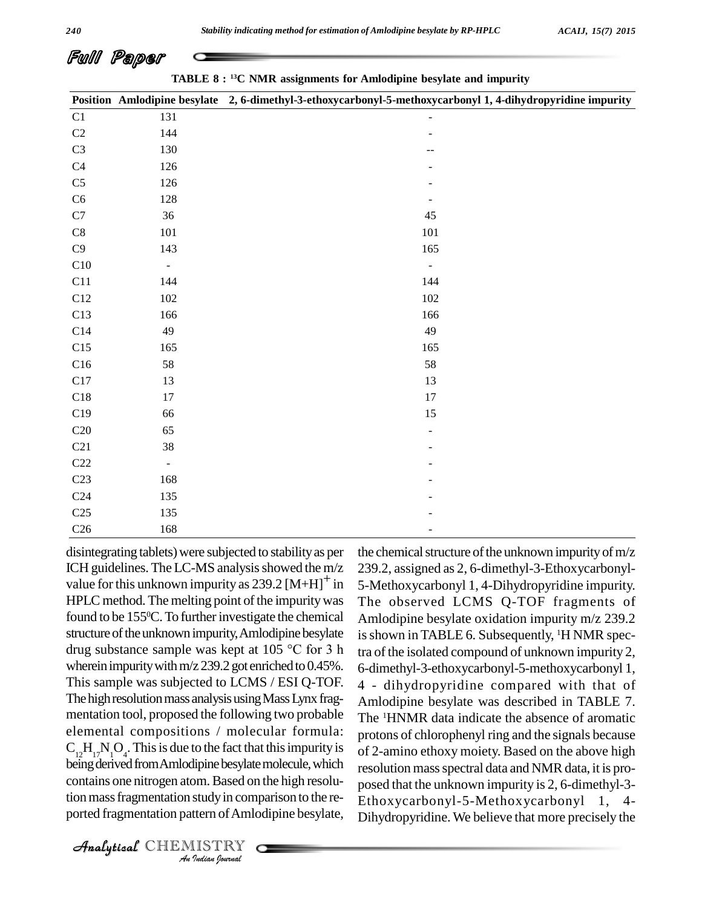# Full Paper

**TABLE 8 : <sup>13</sup>C NMR assignments for Amlodipine besylate and impurity**

|                 |                | Position Amlodipine besylate 2, 6-dimethyl-3-ethoxycarbonyl-5-methoxycarbonyl 1, 4-dihydropyridine impurity |
|-----------------|----------------|-------------------------------------------------------------------------------------------------------------|
| C1              | 131            | $\overline{\phantom{a}}$                                                                                    |
| $\mathbf{C}2$   | 144            |                                                                                                             |
| $\rm C3$        | 130            | $-$                                                                                                         |
| C4              | 126            |                                                                                                             |
| C <sub>5</sub>  | 126            |                                                                                                             |
| C6              | 128            | $\overline{\phantom{a}}$                                                                                    |
| $\mathbf{C}7$   | 36             | 45                                                                                                          |
| $\mbox{C}8$     | $101\,$        | 101                                                                                                         |
| C9              | 143            | 165                                                                                                         |
| C10             | $\equiv$       | $\overline{\phantom{a}}$                                                                                    |
| C11             | 144            | 144                                                                                                         |
| C12             | 102            | 102                                                                                                         |
| C13             | 166            | 166                                                                                                         |
| C14             | 49             | 49                                                                                                          |
| C15             | 165            | 165                                                                                                         |
| C16             | 58             | 58                                                                                                          |
| C17             | 13             | 13                                                                                                          |
| C18             | 17             | $17\,$                                                                                                      |
| C19             | 66             | 15                                                                                                          |
| C20             | 65             |                                                                                                             |
| C21             | 38             |                                                                                                             |
| C22             | $\blacksquare$ |                                                                                                             |
| C <sub>23</sub> | 168            |                                                                                                             |
| C <sub>24</sub> | 135            |                                                                                                             |
| C <sub>25</sub> | 135            |                                                                                                             |
| C <sub>26</sub> | 168            | ٠                                                                                                           |

being derived from Amlodipine besylate molecule, which resolut *Injine besylate*<br>*Immerged on*<br>*Indian bournal* disintegrating tablets)were subjected to stabilityas per ICH guidelines. The LC-MS analysis showed the m/z value for this unknown impurity as  $239.2 \left[M+H\right]^{+}$  in HPLC method. The melting point of the impurity was found to be 155<sup>o</sup>C. To further investigate the chemical Ar structure of the unknown impurity, Amlodipine besylate is sho found to be 155°C. To further investigate the chemical Amlod<br>structure of the unknown impurity, Amlodipine besylate is show<br>drug substance sample was kept at 105 °C for 3 h tra of the wherein impurity with  $m/z 239.2$  got enriched to 0.45%. This sample was subjected to LCMS / ESI Q-TOF. The high resolution mass analysis using Mass Lynx fragmentation tool, proposed the following two probable elemental compositions / molecular formula:  $C_{12}H_{17}N_1O_4$ . This is due to the fact that this impurity is  $\int_{\text{Of }2}$ contains one nitrogen atom. Based on the high resolution mass fragmentation study in comparison to the reported fragmentation pattern of Amlodipine besylate,

the chemical structure of the unknown impurity of  $m/z$ 239.2, assigned as 2, 6-dimethyl-3-Ethoxycarbonyl- 5-Methoxycarbonyl 1, 4-Dihydropyridine impurity. The observed LCMS Q-TOF fragments of Amlodipine besylate oxidation impurity m/z 239.2 is shown in TABLE 6. Subsequently, <sup>1</sup>H NMR spectra of the isolated compound of unknown impurity 2, 6-dimethyl-3-ethoxycarbonyl-5-methoxycarbonyl 1, 4 - dihydropyridine compared with that of Amlodipine besylate was described in TABLE 7. The <sup>1</sup>HNMR data indicate the absence of aromatic protons of chlorophenyl ring and the signals because of 2-amino ethoxy moiety. Based on the above high resolution mass spectral data and NMR data, it is proposed that the unknown impurity is 2, 6-dimethyl-3-Ethoxycarbonyl-5-Methoxycarbonyl 1, 4- Dihydropyridine. We believe that more precisely the

CHEMISTRY COMPANY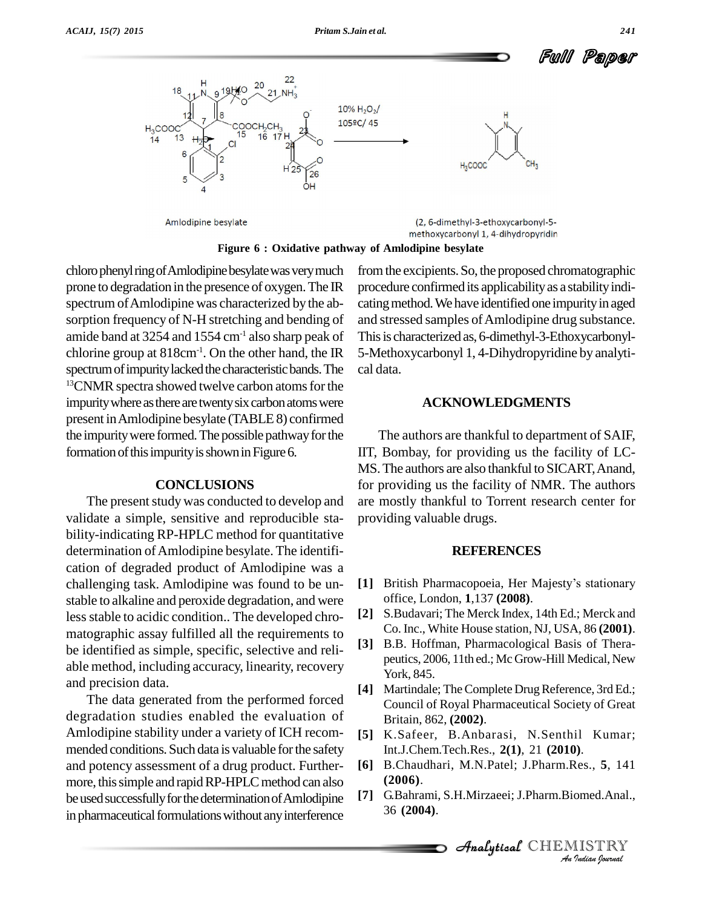Ful Paper



**Figure** 6 : Oxidative pathway of Amlodipine besylate

chloro phenyl ring of Amlodipine besylate was very much prone to degradation in the presence of oxygen.The IR spectrum of Amlodipine was characterized by the absorption frequency of N-H stretching and bending of amide band at  $3254$  and  $1554$  cm<sup>-1</sup> also sharp peak of chlorine group at  $818 \text{cm}^{-1}$ . On the other hand, the IR  $\,$  5-Methox spectrum of impurity lacked the characteristic bands. The <sup>13</sup>CNMR spectra showed twelve carbon atoms for the impurity where as there are twenty six carbon atoms were present inAmlodipine besylate (TABLE8) confirmed the impurity were formed. The possible pathway for the formation of this impurity is shown in Figure 6.

### **CONCLUSIONS**

The present study was conducted to develop and validate a simple, sensitive and reproducible sta bility-indicating RP-HPLC method for quantitative determination of Amlodipine besylate. The identification of degraded product of Amlodipine was a challenging task. Amlodipine was found to be un stable to alkaline and peroxide degradation, and were less stable to acidic condition.. The developed chro- $[2]$ matographic assay fulfilled all the requirements to be identified as simple, specific, selective and reli able method, including accuracy, linearity, recovery and precision data.

The data generated from the performed forced degradation studies enabled the evaluation of Amlodipine stability under a variety of ICH recom mended conditions. Such data is valuable for the safety and potency assessment of a drug product. Further more, this simple and rapid RP-HPLC method can also<br>be used successfully for the determination of Amlodinine [7] be used successfully for the determination of Amlodipine in pharmaceutical formulations without any interference

fromthe excipients.So, the proposed chromatographic procedure confirmed its applicability as a stability indicating method. We have identified one impurity in aged and stressed samples of Amlodipine drug substance. This is characterized as, 6-dimethyl-3-Ethoxycarbonyl-5-Methoxycarbonyl 1, 4-Dihydropyridine by analyti cal data.

#### **ACKNOWLEDGMENTS**

The authors are thankful to department of SAIF, IIT, Bombay, for providing us the facility of LC- MS. The authors are also thankful to SICART, Anand, for providing us the facility of NMR. The authors are mostly thankful to Torrent research center for providing valuable drugs.

### **REFERENCES**

- [1] British Pharmacopoeia, Her Majesty's stationary office, London, **1**,137 **(2008)**.
- **[2]** S.Budavari; The Merck Index, 14th Ed.; Merck and Co. Inc., White House station, NJ, USA, 86 **(2001)**.
- **[3]** B.B. Hoffman, Pharmacological Basis of Thera peutics, 2006, 11th ed.; Mc Grow-Hill Medical, New York, 845.
- Martindale; The Complete Drug Reference, 3rd Ed.; Council of Royal Pharmaceutical Society of Great Britain, 862, **(2002)**.
- **[5]** K.Safeer, B.Anbarasi, N.Senthil Kumar; Int.J.Chem.Tech.Res., **2(1)**, 21 **(2010)**.
- **(2006)**.
- **Analytical** *Analytical Analytical* CHEMISTRY<br> *Analytical* CHEMISTRY<br> *Analytical* CHEMISTRY<br> *Analytical* CHEMISTRY **[7]** G.Bahrami, S.H.Mirzaeei; J.Pharm.Biomed.Anal., 36 **(2004)**.